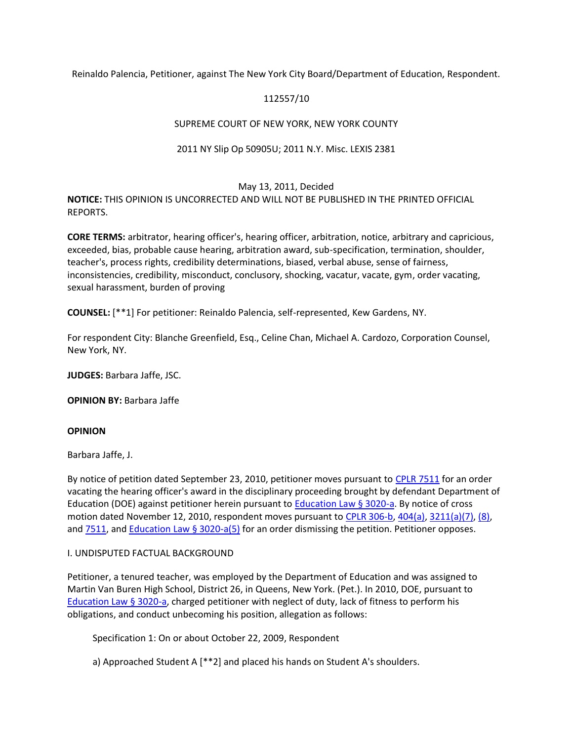Reinaldo Palencia, Petitioner, against The New York City Board/Department of Education, Respondent.

## 112557/10

## SUPREME COURT OF NEW YORK, NEW YORK COUNTY

### 2011 NY Slip Op 50905U; 2011 N.Y. Misc. LEXIS 2381

#### May 13, 2011, Decided

**NOTICE:** THIS OPINION IS UNCORRECTED AND WILL NOT BE PUBLISHED IN THE PRINTED OFFICIAL REPORTS.

**CORE TERMS:** arbitrator, hearing officer's, hearing officer, arbitration, notice, arbitrary and capricious, exceeded, bias, probable cause hearing, arbitration award, sub-specification, termination, shoulder, teacher's, process rights, credibility determinations, biased, verbal abuse, sense of fairness, inconsistencies, credibility, misconduct, conclusory, shocking, vacatur, vacate, gym, order vacating, sexual harassment, burden of proving

**COUNSEL:** [\*\*1] For petitioner: Reinaldo Palencia, self-represented, Kew Gardens, NY.

For respondent City: Blanche Greenfield, Esq., Celine Chan, Michael A. Cardozo, Corporation Counsel, New York, NY.

**JUDGES:** Barbara Jaffe, JSC.

**OPINION BY:** Barbara Jaffe

#### **OPINION**

Barbara Jaffe, J.

By notice of petition dated September 23, 2010, petitioner moves pursuant to [CPLR 7511](http://www.lexisnexis.com.ezproxy.strose.edu/lnacui2api/mungo/lexseestat.do?bct=A&risb=21_T12300448497&homeCsi=9095&A=0.11095619852712335&urlEnc=ISO-8859-1&&citeString=N.Y.%20C.P.L.R.%207511&countryCode=USA) for an order vacating the hearing officer's award in the disciplinary proceeding brought by defendant Department of Education (DOE) against petitioner herein pursuant to **Education Law § 3020-a**. By notice of cross motion dated November 12, 2010, respondent moves pursuant to [CPLR 306-b,](http://www.lexisnexis.com.ezproxy.strose.edu/lnacui2api/mungo/lexseestat.do?bct=A&risb=21_T12300448497&homeCsi=9095&A=0.11095619852712335&urlEnc=ISO-8859-1&&citeString=N.Y.%20C.P.L.R.%20306-B&countryCode=USA) [404\(a\),](http://www.lexisnexis.com.ezproxy.strose.edu/lnacui2api/mungo/lexseestat.do?bct=A&risb=21_T12300448497&homeCsi=9095&A=0.11095619852712335&urlEnc=ISO-8859-1&&citeString=N.Y.%20C.P.L.R.%20404&countryCode=USA) [3211\(a\)\(7\), \(8\),](http://www.lexisnexis.com.ezproxy.strose.edu/lnacui2api/mungo/lexseestat.do?bct=A&risb=21_T12300448497&homeCsi=9095&A=0.11095619852712335&urlEnc=ISO-8859-1&&citeString=N.Y.%20C.P.L.R.%203211&countryCode=USA) and **7511**, and **Education Law § 3020-a(5)** for an order dismissing the petition. Petitioner opposes.

#### I. UNDISPUTED FACTUAL BACKGROUND

Petitioner, a tenured teacher, was employed by the Department of Education and was assigned to Martin Van Buren High School, District 26, in Queens, New York. (Pet.). In 2010, DOE, pursuant to [Education Law § 3020-a,](http://www.lexisnexis.com.ezproxy.strose.edu/lnacui2api/mungo/lexseestat.do?bct=A&risb=21_T12300448497&homeCsi=9095&A=0.11095619852712335&urlEnc=ISO-8859-1&&citeString=N.Y.%20EDUC.%20LAW%203020-A&countryCode=USA) charged petitioner with neglect of duty, lack of fitness to perform his obligations, and conduct unbecoming his position, allegation as follows:

Specification 1: On or about October 22, 2009, Respondent

a) Approached Student A [\*\*2] and placed his hands on Student A's shoulders.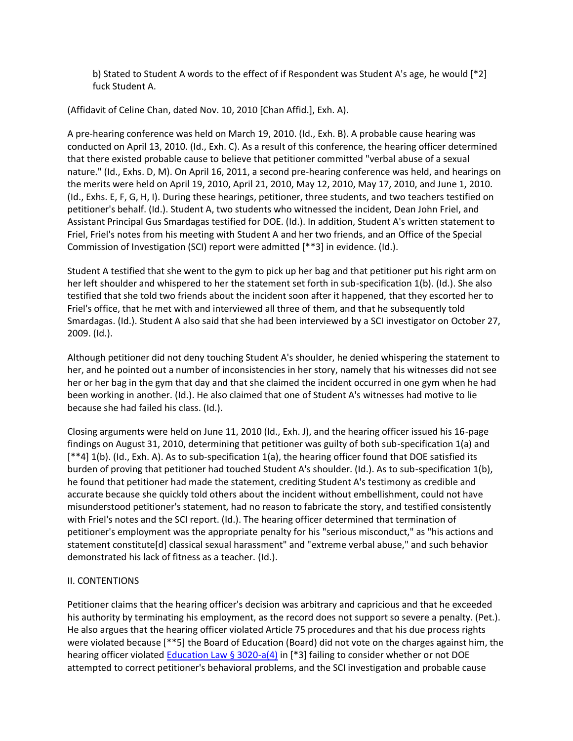b) Stated to Student A words to the effect of if Respondent was Student A's age, he would [\*2] fuck Student A.

(Affidavit of Celine Chan, dated Nov. 10, 2010 [Chan Affid.], Exh. A).

A pre-hearing conference was held on March 19, 2010. (Id., Exh. B). A probable cause hearing was conducted on April 13, 2010. (Id., Exh. C). As a result of this conference, the hearing officer determined that there existed probable cause to believe that petitioner committed "verbal abuse of a sexual nature." (Id., Exhs. D, M). On April 16, 2011, a second pre-hearing conference was held, and hearings on the merits were held on April 19, 2010, April 21, 2010, May 12, 2010, May 17, 2010, and June 1, 2010. (Id., Exhs. E, F, G, H, I). During these hearings, petitioner, three students, and two teachers testified on petitioner's behalf. (Id.). Student A, two students who witnessed the incident, Dean John Friel, and Assistant Principal Gus Smardagas testified for DOE. (Id.). In addition, Student A's written statement to Friel, Friel's notes from his meeting with Student A and her two friends, and an Office of the Special Commission of Investigation (SCI) report were admitted [\*\*3] in evidence. (Id.).

Student A testified that she went to the gym to pick up her bag and that petitioner put his right arm on her left shoulder and whispered to her the statement set forth in sub-specification 1(b). (Id.). She also testified that she told two friends about the incident soon after it happened, that they escorted her to Friel's office, that he met with and interviewed all three of them, and that he subsequently told Smardagas. (Id.). Student A also said that she had been interviewed by a SCI investigator on October 27, 2009. (Id.).

Although petitioner did not deny touching Student A's shoulder, he denied whispering the statement to her, and he pointed out a number of inconsistencies in her story, namely that his witnesses did not see her or her bag in the gym that day and that she claimed the incident occurred in one gym when he had been working in another. (Id.). He also claimed that one of Student A's witnesses had motive to lie because she had failed his class. (Id.).

Closing arguments were held on June 11, 2010 (Id., Exh. J), and the hearing officer issued his 16-page findings on August 31, 2010, determining that petitioner was guilty of both sub-specification 1(a) and [\*\*4] 1(b). (Id., Exh. A). As to sub-specification 1(a), the hearing officer found that DOE satisfied its burden of proving that petitioner had touched Student A's shoulder. (Id.). As to sub-specification 1(b), he found that petitioner had made the statement, crediting Student A's testimony as credible and accurate because she quickly told others about the incident without embellishment, could not have misunderstood petitioner's statement, had no reason to fabricate the story, and testified consistently with Friel's notes and the SCI report. (Id.). The hearing officer determined that termination of petitioner's employment was the appropriate penalty for his "serious misconduct," as "his actions and statement constitute[d] classical sexual harassment" and "extreme verbal abuse," and such behavior demonstrated his lack of fitness as a teacher. (Id.).

# II. CONTENTIONS

Petitioner claims that the hearing officer's decision was arbitrary and capricious and that he exceeded his authority by terminating his employment, as the record does not support so severe a penalty. (Pet.). He also argues that the hearing officer violated Article 75 procedures and that his due process rights were violated because [\*\*5] the Board of Education (Board) did not vote on the charges against him, the hearing officer violated **Education Law § 3020-a(4)** in [\*3] failing to consider whether or not DOE attempted to correct petitioner's behavioral problems, and the SCI investigation and probable cause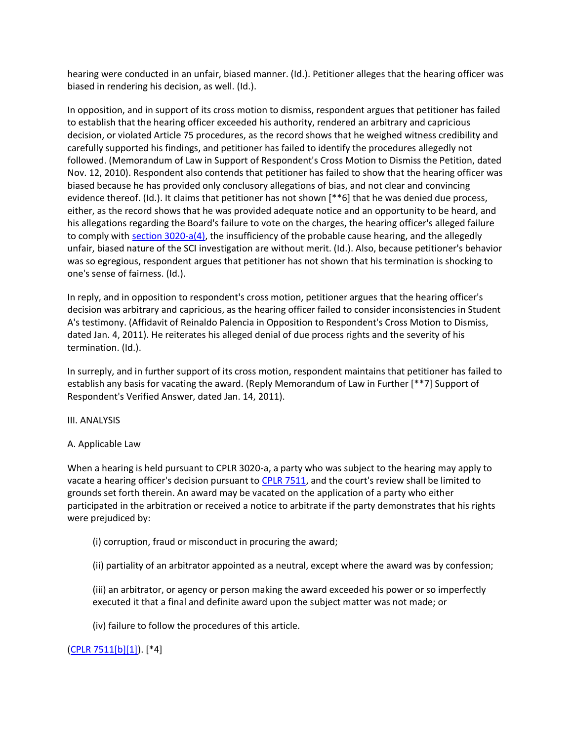hearing were conducted in an unfair, biased manner. (Id.). Petitioner alleges that the hearing officer was biased in rendering his decision, as well. (Id.).

In opposition, and in support of its cross motion to dismiss, respondent argues that petitioner has failed to establish that the hearing officer exceeded his authority, rendered an arbitrary and capricious decision, or violated Article 75 procedures, as the record shows that he weighed witness credibility and carefully supported his findings, and petitioner has failed to identify the procedures allegedly not followed. (Memorandum of Law in Support of Respondent's Cross Motion to Dismiss the Petition, dated Nov. 12, 2010). Respondent also contends that petitioner has failed to show that the hearing officer was biased because he has provided only conclusory allegations of bias, and not clear and convincing evidence thereof. (Id.). It claims that petitioner has not shown [\*\*6] that he was denied due process, either, as the record shows that he was provided adequate notice and an opportunity to be heard, and his allegations regarding the Board's failure to vote on the charges, the hearing officer's alleged failure to comply with [section 3020-a\(4\),](http://www.lexisnexis.com.ezproxy.strose.edu/lnacui2api/mungo/lexseestat.do?bct=A&risb=21_T12300448497&homeCsi=9095&A=0.11095619852712335&urlEnc=ISO-8859-1&&citeString=N.Y.%20EDUC.%20LAW%203020-A&countryCode=USA) the insufficiency of the probable cause hearing, and the allegedly unfair, biased nature of the SCI investigation are without merit. (Id.). Also, because petitioner's behavior was so egregious, respondent argues that petitioner has not shown that his termination is shocking to one's sense of fairness. (Id.).

In reply, and in opposition to respondent's cross motion, petitioner argues that the hearing officer's decision was arbitrary and capricious, as the hearing officer failed to consider inconsistencies in Student A's testimony. (Affidavit of Reinaldo Palencia in Opposition to Respondent's Cross Motion to Dismiss, dated Jan. 4, 2011). He reiterates his alleged denial of due process rights and the severity of his termination. (Id.).

In surreply, and in further support of its cross motion, respondent maintains that petitioner has failed to establish any basis for vacating the award. (Reply Memorandum of Law in Further [\*\*7] Support of Respondent's Verified Answer, dated Jan. 14, 2011).

### III. ANALYSIS

### A. Applicable Law

When a hearing is held pursuant to CPLR 3020-a, a party who was subject to the hearing may apply to vacate a hearing officer's decision pursuant to [CPLR 7511,](http://www.lexisnexis.com.ezproxy.strose.edu/lnacui2api/mungo/lexseestat.do?bct=A&risb=21_T12300448497&homeCsi=9095&A=0.11095619852712335&urlEnc=ISO-8859-1&&citeString=N.Y.%20C.P.L.R.%207511&countryCode=USA) and the court's review shall be limited to grounds set forth therein. An award may be vacated on the application of a party who either participated in the arbitration or received a notice to arbitrate if the party demonstrates that his rights were prejudiced by:

(i) corruption, fraud or misconduct in procuring the award;

(ii) partiality of an arbitrator appointed as a neutral, except where the award was by confession;

(iii) an arbitrator, or agency or person making the award exceeded his power or so imperfectly executed it that a final and definite award upon the subject matter was not made; or

(iv) failure to follow the procedures of this article.

### [\(CPLR 7511\[b\]\[1\]\)](http://www.lexisnexis.com.ezproxy.strose.edu/lnacui2api/mungo/lexseestat.do?bct=A&risb=21_T12300448497&homeCsi=9095&A=0.11095619852712335&urlEnc=ISO-8859-1&&citeString=N.Y.%20C.P.L.R.%207511&countryCode=USA). [\*4]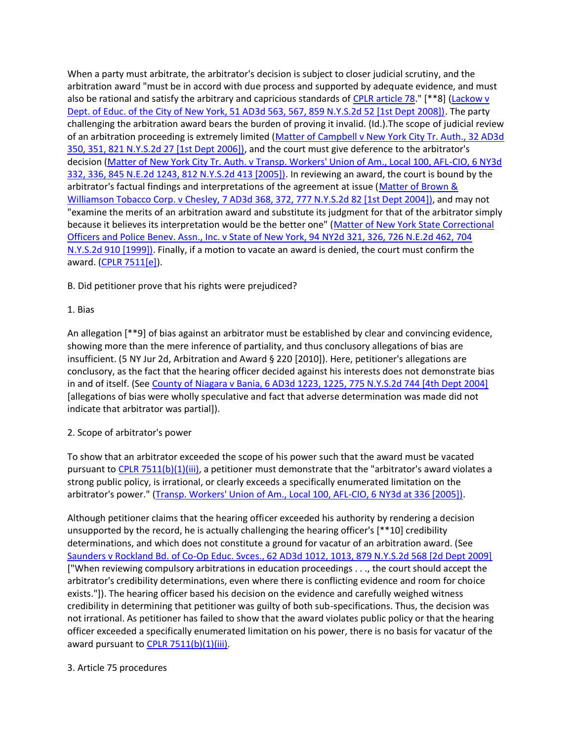When a party must arbitrate, the arbitrator's decision is subject to closer judicial scrutiny, and the arbitration award "must be in accord with due process and supported by adequate evidence, and must also be rational and satisfy the arbitrary and capricious standards of [CPLR article 78.](http://www.lexisnexis.com.ezproxy.strose.edu/lnacui2api/mungo/lexseestat.do?bct=A&risb=21_T12300448497&homeCsi=9095&A=0.11095619852712335&urlEnc=ISO-8859-1&&citeString=N.Y.%20C.P.L.R.%207801&countryCode=USA)" [\*\*8] [\(Lackow v](http://www.lexisnexis.com.ezproxy.strose.edu/lnacui2api/mungo/lexseestat.do?bct=A&risb=21_T12300448497&homeCsi=9095&A=0.11095619852712335&urlEnc=ISO-8859-1&&citeString=51%20A.D.3d%20563,%20567&countryCode=USA)  [Dept. of Educ. of the City of New York, 51 AD3d 563, 567, 859 N.Y.S.2d 52 \[1st Dept 2008\]\).](http://www.lexisnexis.com.ezproxy.strose.edu/lnacui2api/mungo/lexseestat.do?bct=A&risb=21_T12300448497&homeCsi=9095&A=0.11095619852712335&urlEnc=ISO-8859-1&&citeString=51%20A.D.3d%20563,%20567&countryCode=USA) The party challenging the arbitration award bears the burden of proving it invalid. (Id.).The scope of judicial review of an arbitration proceeding is extremely limited [\(Matter of Campbell v New York City Tr. Auth., 32 AD3d](http://www.lexisnexis.com.ezproxy.strose.edu/lnacui2api/mungo/lexseestat.do?bct=A&risb=21_T12300448497&homeCsi=9095&A=0.11095619852712335&urlEnc=ISO-8859-1&&citeString=32%20A.D.3d%20350,%20351&countryCode=USA)  [350, 351, 821 N.Y.S.2d 27 \[1st Dept 2006\]\),](http://www.lexisnexis.com.ezproxy.strose.edu/lnacui2api/mungo/lexseestat.do?bct=A&risb=21_T12300448497&homeCsi=9095&A=0.11095619852712335&urlEnc=ISO-8859-1&&citeString=32%20A.D.3d%20350,%20351&countryCode=USA) and the court must give deference to the arbitrator's decision [\(Matter of New York City Tr. Auth. v Transp. Workers' Union of Am., Local 100, AFL-CIO,](http://www.lexisnexis.com.ezproxy.strose.edu/lnacui2api/mungo/lexseestat.do?bct=A&risb=21_T12300448497&homeCsi=9095&A=0.11095619852712335&urlEnc=ISO-8859-1&&citeString=6%20N.Y.3d%20332,%20336&countryCode=USA) 6 NY3d [332, 336, 845 N.E.2d 1243, 812 N.Y.S.2d 413 \[2005\]\).](http://www.lexisnexis.com.ezproxy.strose.edu/lnacui2api/mungo/lexseestat.do?bct=A&risb=21_T12300448497&homeCsi=9095&A=0.11095619852712335&urlEnc=ISO-8859-1&&citeString=6%20N.Y.3d%20332,%20336&countryCode=USA) In reviewing an award, the court is bound by the arbitrator's factual findings and interpretations of the agreement at issue [\(Matter of Brown &](http://www.lexisnexis.com.ezproxy.strose.edu/lnacui2api/mungo/lexseestat.do?bct=A&risb=21_T12300448497&homeCsi=9095&A=0.11095619852712335&urlEnc=ISO-8859-1&&citeString=7%20A.D.3d%20368,%20372&countryCode=USA)  [Williamson Tobacco Corp. v Chesley, 7 AD3d 368, 372, 777 N.Y.S.2d 82 \[1st Dept 2004\]\),](http://www.lexisnexis.com.ezproxy.strose.edu/lnacui2api/mungo/lexseestat.do?bct=A&risb=21_T12300448497&homeCsi=9095&A=0.11095619852712335&urlEnc=ISO-8859-1&&citeString=7%20A.D.3d%20368,%20372&countryCode=USA) and may not "examine the merits of an arbitration award and substitute its judgment for that of the arbitrator simply because it believes its interpretation would be the better one" (Matter of New York State Correctional [Officers and Police Benev. Assn., Inc. v State of New York, 94](http://www.lexisnexis.com.ezproxy.strose.edu/lnacui2api/mungo/lexseestat.do?bct=A&risb=21_T12300448497&homeCsi=9095&A=0.11095619852712335&urlEnc=ISO-8859-1&&citeString=94%20N.Y.2d%20321,%20326&countryCode=USA) NY2d 321, 326, 726 N.E.2d 462, 704 [N.Y.S.2d 910 \[1999\]\).](http://www.lexisnexis.com.ezproxy.strose.edu/lnacui2api/mungo/lexseestat.do?bct=A&risb=21_T12300448497&homeCsi=9095&A=0.11095619852712335&urlEnc=ISO-8859-1&&citeString=94%20N.Y.2d%20321,%20326&countryCode=USA) Finally, if a motion to vacate an award is denied, the court must confirm the award. [\(CPLR 7511\[e\]\)](http://www.lexisnexis.com.ezproxy.strose.edu/lnacui2api/mungo/lexseestat.do?bct=A&risb=21_T12300448497&homeCsi=9095&A=0.11095619852712335&urlEnc=ISO-8859-1&&citeString=N.Y.%20C.P.L.R.%207511&countryCode=USA).

B. Did petitioner prove that his rights were prejudiced?

1. Bias

An allegation [\*\*9] of bias against an arbitrator must be established by clear and convincing evidence, showing more than the mere inference of partiality, and thus conclusory allegations of bias are insufficient. (5 NY Jur 2d, Arbitration and Award § 220 [2010]). Here, petitioner's allegations are conclusory, as the fact that the hearing officer decided against his interests does not demonstrate bias in and of itself. (Se[e County of Niagara v Bania, 6 AD3d 1223, 1225, 775 N.Y.S.2d 744 \[4th Dept 2004\]](http://www.lexisnexis.com.ezproxy.strose.edu/lnacui2api/mungo/lexseestat.do?bct=A&risb=21_T12300448497&homeCsi=9095&A=0.11095619852712335&urlEnc=ISO-8859-1&&citeString=6%20A.D.3d%201223,%201225&countryCode=USA) [allegations of bias were wholly speculative and fact that adverse determination was made did not indicate that arbitrator was partial]).

# 2. Scope of arbitrator's power

To show that an arbitrator exceeded the scope of his power such that the award must be vacated pursuant to [CPLR 7511\(b\)\(1\)\(iii\),](http://www.lexisnexis.com.ezproxy.strose.edu/lnacui2api/mungo/lexseestat.do?bct=A&risb=21_T12300448497&homeCsi=9095&A=0.11095619852712335&urlEnc=ISO-8859-1&&citeString=N.Y.%20C.P.L.R.%207511&countryCode=USA) a petitioner must demonstrate that the "arbitrator's award violates a strong public policy, is irrational, or clearly exceeds a specifically enumerated limitation on the arbitrator's power." [\(Transp. Workers' Union of Am., Local 100, AFL-CIO, 6 NY3d at 336 \[2005\]\).](http://www.lexisnexis.com.ezproxy.strose.edu/lnacui2api/mungo/lexseestat.do?bct=A&risb=21_T12300448497&homeCsi=9095&A=0.11095619852712335&urlEnc=ISO-8859-1&&citeString=6%20N.Y.3d%20332,%20336&countryCode=USA)

Although petitioner claims that the hearing officer exceeded his authority by rendering a decision unsupported by the record, he is actually challenging the hearing officer's [\*\*10] credibility determinations, and which does not constitute a ground for vacatur of an arbitration award. (See [Saunders v Rockland Bd. of Co-Op Educ. Svces., 62 AD3d 1012, 1013, 879 N.Y.S.2d 568 \[2d Dept 2009\]](http://www.lexisnexis.com.ezproxy.strose.edu/lnacui2api/mungo/lexseestat.do?bct=A&risb=21_T12300448497&homeCsi=9095&A=0.11095619852712335&urlEnc=ISO-8859-1&&citeString=62%20A.D.3d%201012,%201013&countryCode=USA) ["When reviewing compulsory arbitrations in education proceedings . . ., the court should accept the arbitrator's credibility determinations, even where there is conflicting evidence and room for choice exists."]). The hearing officer based his decision on the evidence and carefully weighed witness credibility in determining that petitioner was guilty of both sub-specifications. Thus, the decision was not irrational. As petitioner has failed to show that the award violates public policy or that the hearing officer exceeded a specifically enumerated limitation on his power, there is no basis for vacatur of the award pursuant to [CPLR 7511\(b\)\(1\)\(iii\).](http://www.lexisnexis.com.ezproxy.strose.edu/lnacui2api/mungo/lexseestat.do?bct=A&risb=21_T12300448497&homeCsi=9095&A=0.11095619852712335&urlEnc=ISO-8859-1&&citeString=N.Y.%20C.P.L.R.%207511&countryCode=USA)

### 3. Article 75 procedures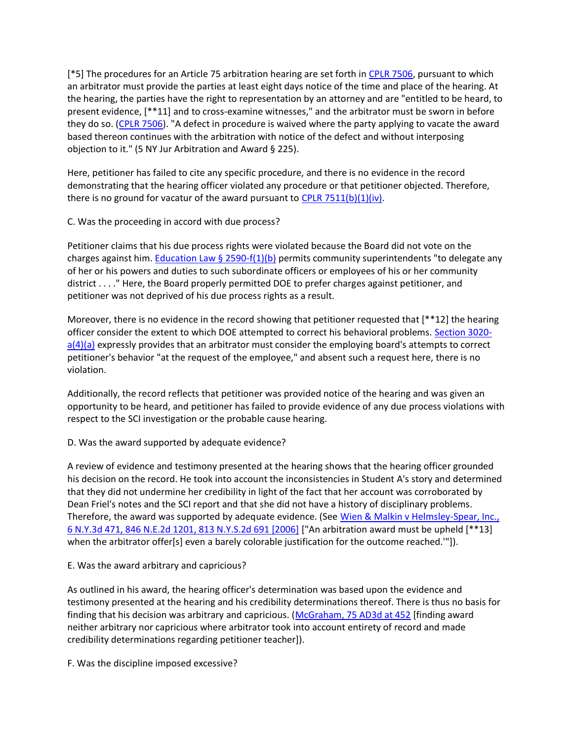[\*5] The procedures for an Article 75 arbitration hearing are set forth in [CPLR 7506,](http://www.lexisnexis.com.ezproxy.strose.edu/lnacui2api/mungo/lexseestat.do?bct=A&risb=21_T12300448497&homeCsi=9095&A=0.11095619852712335&urlEnc=ISO-8859-1&&citeString=N.Y.%20C.P.L.R.%207506&countryCode=USA) pursuant to which an arbitrator must provide the parties at least eight days notice of the time and place of the hearing. At the hearing, the parties have the right to representation by an attorney and are "entitled to be heard, to present evidence, [\*\*11] and to cross-examine witnesses," and the arbitrator must be sworn in before they do so. [\(CPLR 7506\)](http://www.lexisnexis.com.ezproxy.strose.edu/lnacui2api/mungo/lexseestat.do?bct=A&risb=21_T12300448497&homeCsi=9095&A=0.11095619852712335&urlEnc=ISO-8859-1&&citeString=N.Y.%20C.P.L.R.%207506&countryCode=USA). "A defect in procedure is waived where the party applying to vacate the award based thereon continues with the arbitration with notice of the defect and without interposing objection to it." (5 NY Jur Arbitration and Award § 225).

Here, petitioner has failed to cite any specific procedure, and there is no evidence in the record demonstrating that the hearing officer violated any procedure or that petitioner objected. Therefore, there is no ground for vacatur of the award pursuant to CPLR  $7511(b)(1)(iv)$ .

C. Was the proceeding in accord with due process?

Petitioner claims that his due process rights were violated because the Board did not vote on the charges against him. [Education Law § 2590-f\(1\)\(b\)](http://www.lexisnexis.com.ezproxy.strose.edu/lnacui2api/mungo/lexseestat.do?bct=A&risb=21_T12300448497&homeCsi=9095&A=0.11095619852712335&urlEnc=ISO-8859-1&&citeString=N.Y.%20EDUC.%20LAW%202590-F&countryCode=USA) permits community superintendents "to delegate any of her or his powers and duties to such subordinate officers or employees of his or her community district . . . ." Here, the Board properly permitted DOE to prefer charges against petitioner, and petitioner was not deprived of his due process rights as a result.

Moreover, there is no evidence in the record showing that petitioner requested that [\*\*12] the hearing officer consider the extent to which DOE attempted to correct his behavioral problems. [Section 3020](http://www.lexisnexis.com.ezproxy.strose.edu/lnacui2api/mungo/lexseestat.do?bct=A&risb=21_T12300448497&homeCsi=9095&A=0.11095619852712335&urlEnc=ISO-8859-1&&citeString=N.Y.%20EDUC.%20LAW%203020-A&countryCode=USA)  $a(4)(a)$  expressly provides that an arbitrator must consider the employing board's attempts to correct petitioner's behavior "at the request of the employee," and absent such a request here, there is no violation.

Additionally, the record reflects that petitioner was provided notice of the hearing and was given an opportunity to be heard, and petitioner has failed to provide evidence of any due process violations with respect to the SCI investigation or the probable cause hearing.

D. Was the award supported by adequate evidence?

A review of evidence and testimony presented at the hearing shows that the hearing officer grounded his decision on the record. He took into account the inconsistencies in Student A's story and determined that they did not undermine her credibility in light of the fact that her account was corroborated by Dean Friel's notes and the SCI report and that she did not have a history of disciplinary problems. Therefore, the award was supported by adequate evidence. (See Wien & Malkin v Helmsley-Spear, Inc., [6 N.Y.3d 471, 846 N.E.2d 1201, 813 N.Y.S.2d 691 \[2006\]](http://www.lexisnexis.com.ezproxy.strose.edu/lnacui2api/mungo/lexseestat.do?bct=A&risb=21_T12300448497&homeCsi=9095&A=0.11095619852712335&urlEnc=ISO-8859-1&&citeString=6%20N.Y.3d%20471&countryCode=USA) ["An arbitration award must be upheld [\*\*13] when the arbitrator offer[s] even a barely colorable justification for the outcome reached.""]).

E. Was the award arbitrary and capricious?

As outlined in his award, the hearing officer's determination was based upon the evidence and testimony presented at the hearing and his credibility determinations thereof. There is thus no basis for finding that his decision was arbitrary and capricious. [\(McGraham, 75 AD3d at 452](http://www.lexisnexis.com.ezproxy.strose.edu/lnacui2api/mungo/lexseestat.do?bct=A&risb=21_T12300448497&homeCsi=9095&A=0.11095619852712335&urlEnc=ISO-8859-1&&citeString=75%20A.D.3d%20445,%20452&countryCode=USA) [finding award neither arbitrary nor capricious where arbitrator took into account entirety of record and made credibility determinations regarding petitioner teacher]).

F. Was the discipline imposed excessive?